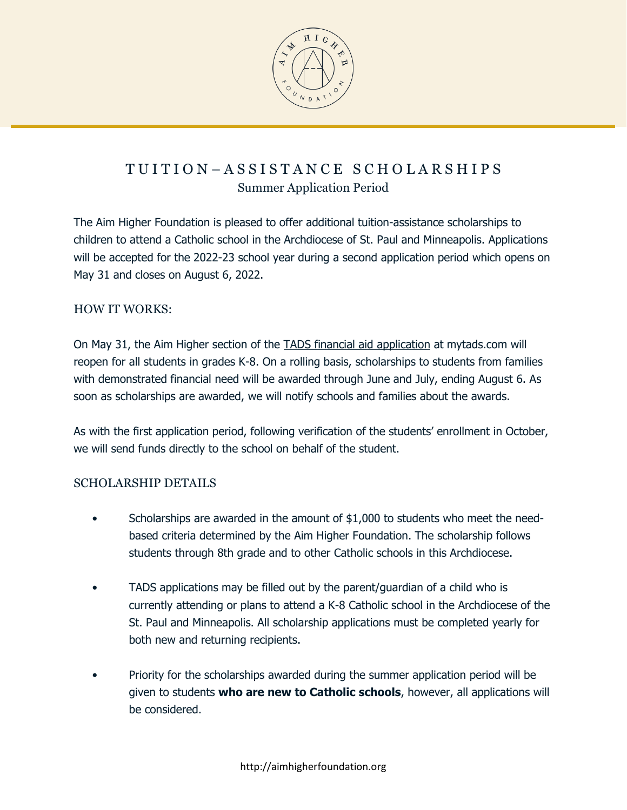

# T U I T I O N – A S S I S T A N C E S C H O L A R S H I P S Summer Application Period

The Aim Higher Foundation is pleased to offer additional tuition-assistance scholarships to children to attend a Catholic school in the Archdiocese of St. Paul and Minneapolis. Applications will be accepted for the 2022-23 school year during a second application period which opens on May 31 and closes on August 6, 2022.

#### HOW IT WORKS:

On May 31, the Aim Higher section of the [TADS financial aid application](http://mytads.com/) at mytads.com will reopen for all students in grades K-8. On a rolling basis, scholarships to students from families with demonstrated financial need will be awarded through June and July, ending August 6. As soon as scholarships are awarded, we will notify schools and families about the awards.

As with the first application period, following verification of the students' enrollment in October, we will send funds directly to the school on behalf of the student.

#### SCHOLARSHIP DETAILS

- Scholarships are awarded in the amount of \$1,000 to students who meet the needbased criteria determined by the Aim Higher Foundation. The scholarship follows students through 8th grade and to other Catholic schools in this Archdiocese.
- TADS applications may be filled out by the parent/guardian of a child who is currently attending or plans to attend a K-8 Catholic school in the Archdiocese of the St. Paul and Minneapolis. All scholarship applications must be completed yearly for both new and returning recipients.
- Priority for the scholarships awarded during the summer application period will be given to students **who are new to Catholic schools**, however, all applications will be considered.